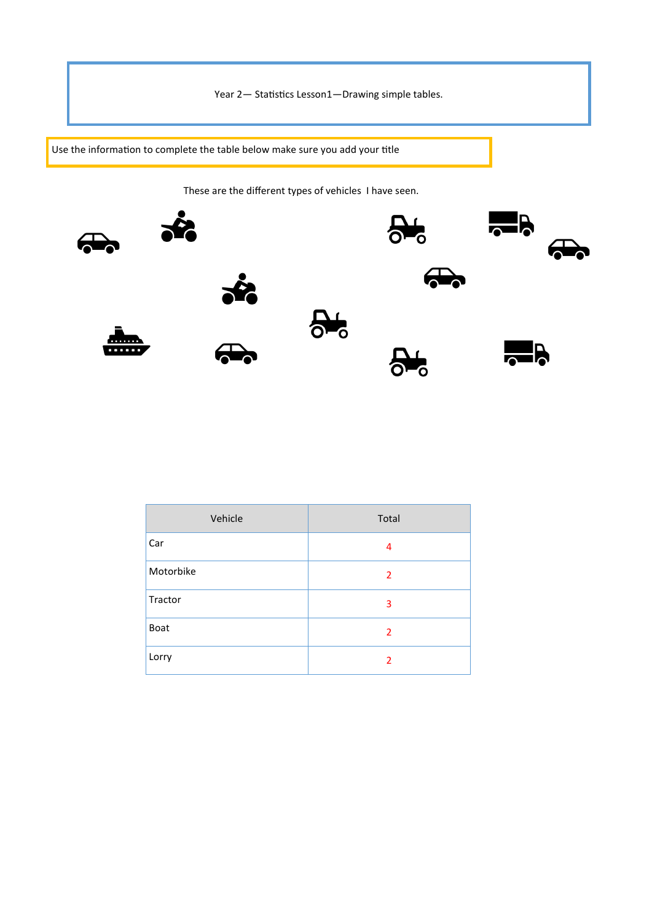Year 2— Statistics Lesson1—Drawing simple tables.

Use the information to complete the table below make sure you add your title

These are the different types of vehicles I have seen.



| Vehicle   | Total |
|-----------|-------|
| Car       | 4     |
| Motorbike | 2     |
| Tractor   | 3     |
| Boat      | 2     |
| Lorry     | 2     |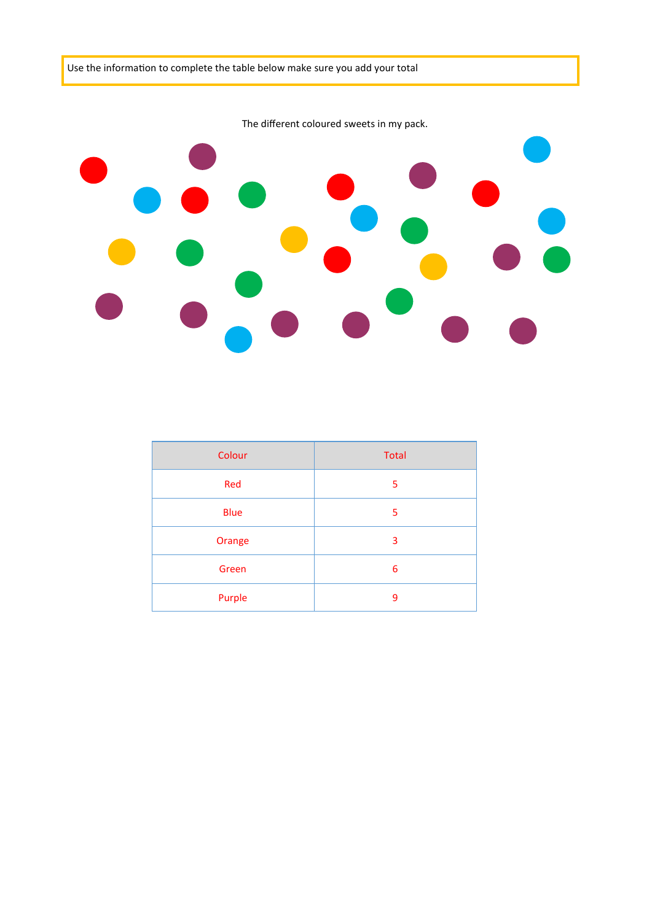

| Colour      | <b>Total</b> |
|-------------|--------------|
| Red         | 5            |
| <b>Blue</b> | 5            |
| Orange      | 3            |
| Green       | 6            |
| Purple      | 9            |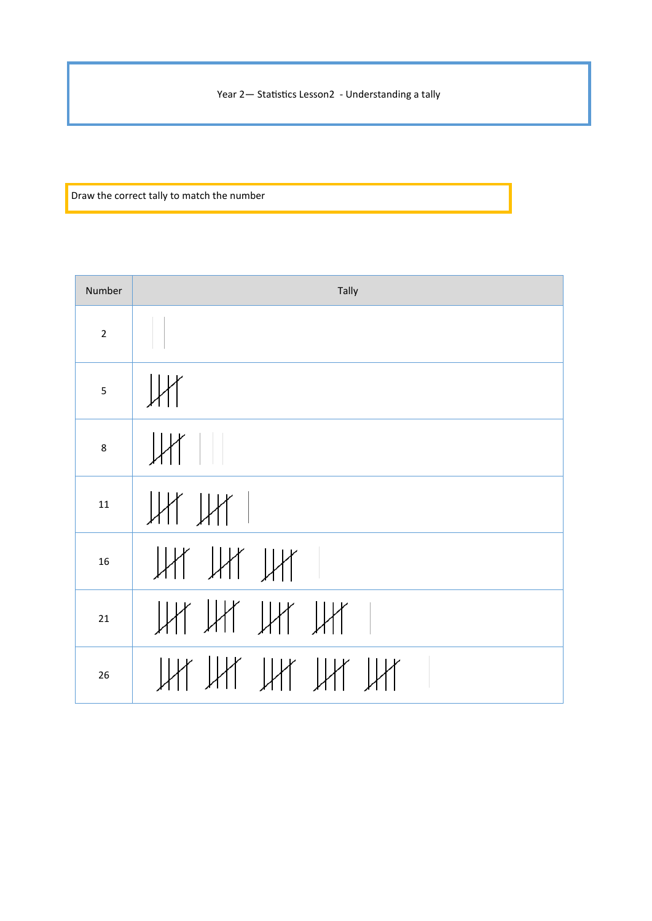Year 2- Statistics Lesson2 - Understanding a tally

Draw the correct tally to match the number

| Number                  | Tally          |
|-------------------------|----------------|
| $\overline{2}$          | $\Box$         |
| $\overline{\mathbf{5}}$ | UH             |
| 8                       | $\ $           |
| 11                      | JH JH 1        |
| 16                      | HAL TAL TAL    |
| 21                      | UY UY UY UY 1  |
| 26                      | Ut Ut Ut Ut Ut |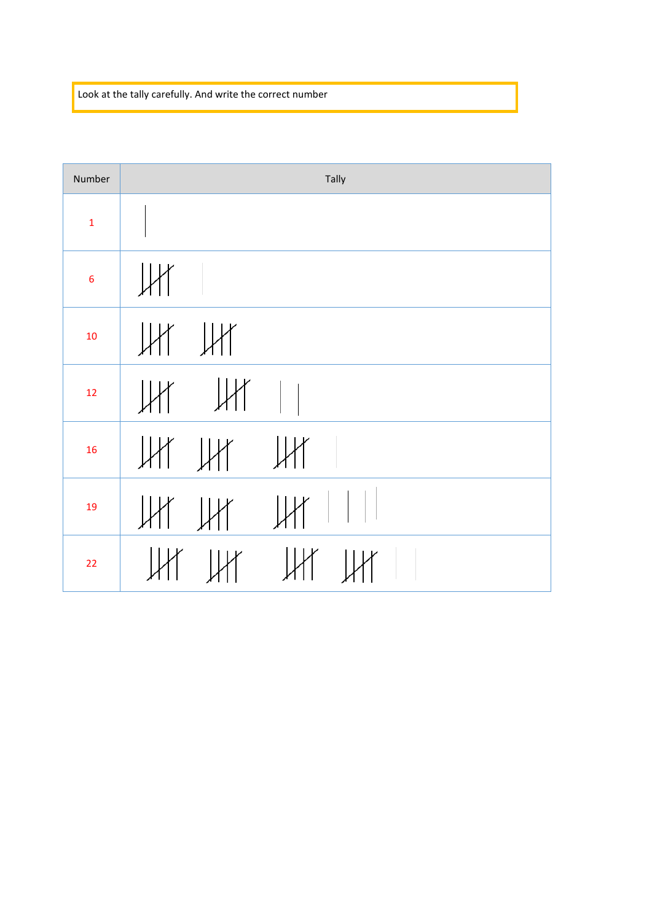Look at the tally carefully. And write the correct number

| Number          | Tally                               |
|-----------------|-------------------------------------|
| $\mathbf{1}$    |                                     |
| $6\phantom{1}6$ | $\mathbb{H}$                        |
| 10              | $\mathbb{H}$ $\mathbb{H}$           |
| 12              | $\parallel$                         |
| 16              | $\mathbb H$ $\mathbb H$ $\mathbb H$ |
| 19              | HHHHHH                              |
| 22              | $HH$ $HH$ $HH$ $HH$ $  $            |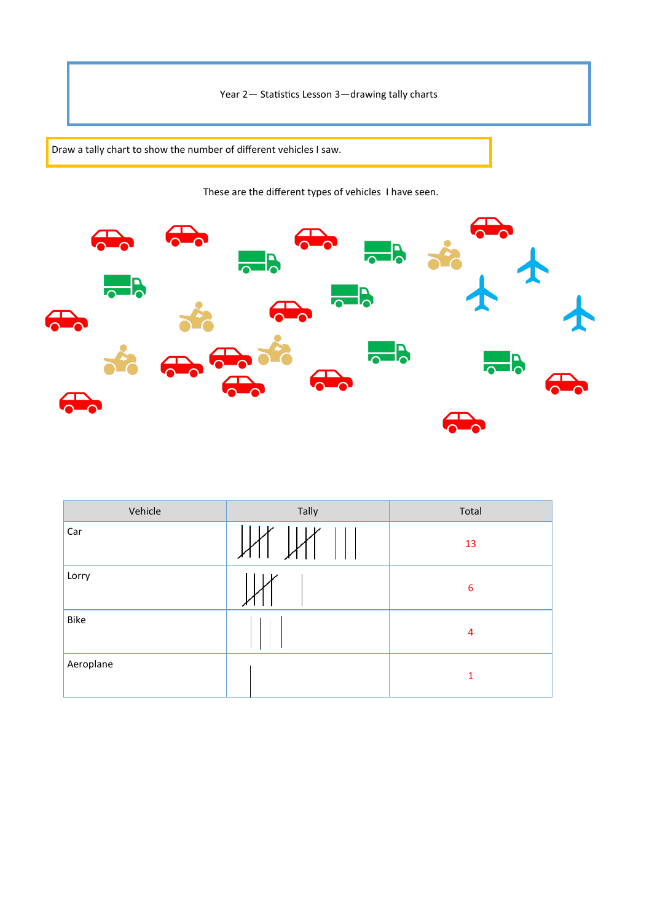Year 2— Statistics Lesson 3—drawing tally charts

Draw a tally chart to show the number of different vehicles I saw.

These are the different types of vehicles I have seen.



| Vehicle   | Tally | Total            |
|-----------|-------|------------------|
| Car       |       | 13               |
| Lorry     |       | $\boldsymbol{6}$ |
| Bike      |       | 4                |
| Aeroplane |       | $\mathbf{1}$     |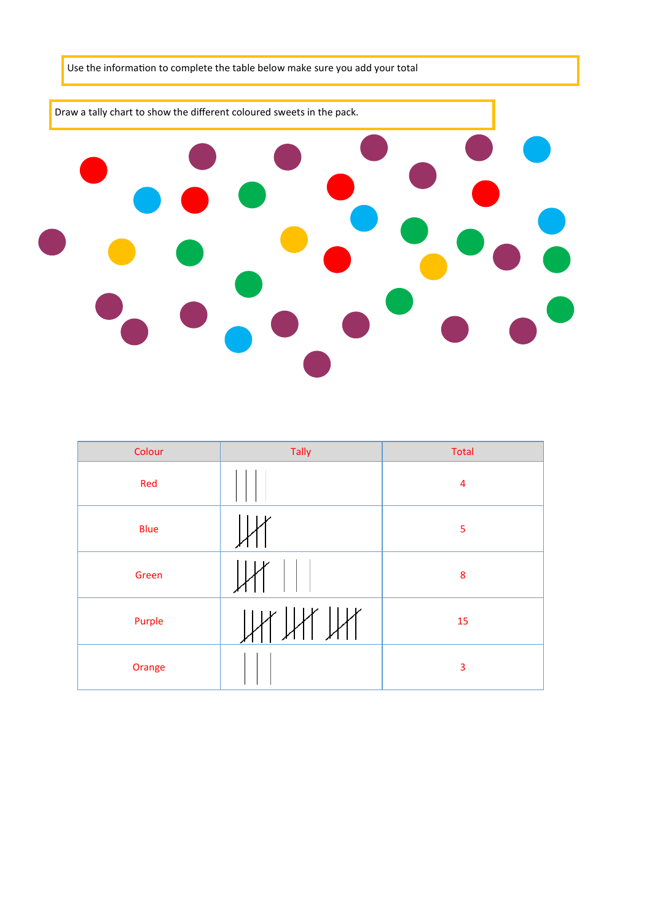

| Colour      | Tally | Total                   |
|-------------|-------|-------------------------|
| Red         |       | $\overline{\mathbf{4}}$ |
| <b>Blue</b> |       | 5                       |
| Green       |       | ${\bf 8}$               |
| Purple      |       | 15                      |
| Orange      |       | 3                       |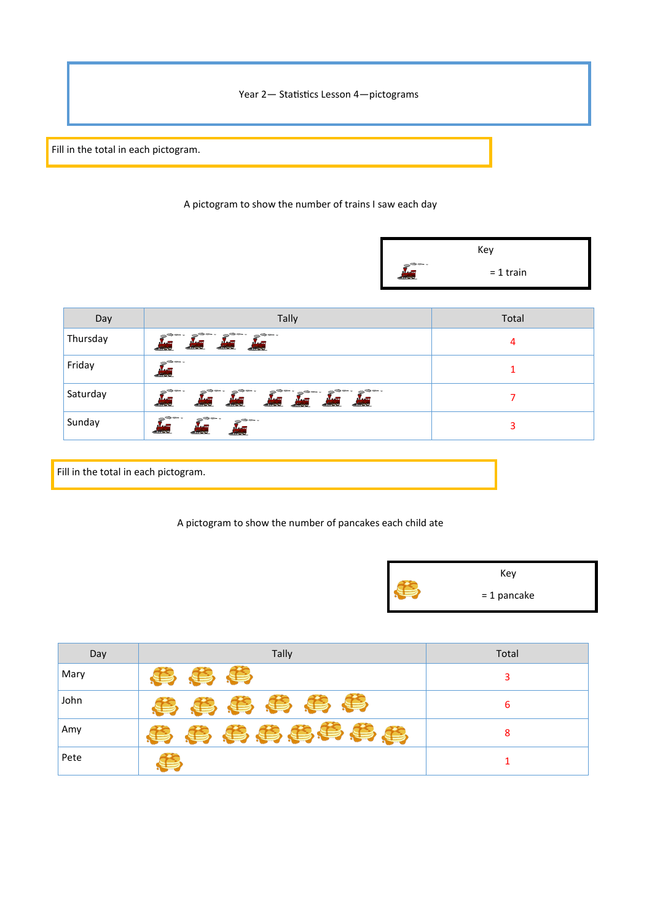Year 2— Statistics Lesson 4—pictograms

Fill in the total in each pictogram.

## A pictogram to show the number of trains I saw each day

|                          | Key         |  |
|--------------------------|-------------|--|
| in and a<br><b>MAAIL</b> | $= 1$ train |  |

| Day      | <b>Tally</b>                                                                        | Total |
|----------|-------------------------------------------------------------------------------------|-------|
| Thursday | Aug Aug Aug<br>$\mathbf{M}$ and $\mathbf{M}$                                        | 4     |
| Friday   | -9-<br><b>REAL PROPE</b>                                                            |       |
| Saturday | As As As As As As                                                                   |       |
| Sunday   | -9-<br>$\int_{\mathbb{R}^n}$<br><b>AND</b><br><b>ANGEL</b><br><b>ALL STATISTICS</b> | 3     |

Fill in the total in each pictogram.

## A pictogram to show the number of pancakes each child ate



| Day  | Tally     | Total |
|------|-----------|-------|
| Mary | 等事        |       |
| John | 4 多 事 事 事 | 6     |
| Amy  | 事典事典事事事典  | 8     |
| Pete |           |       |